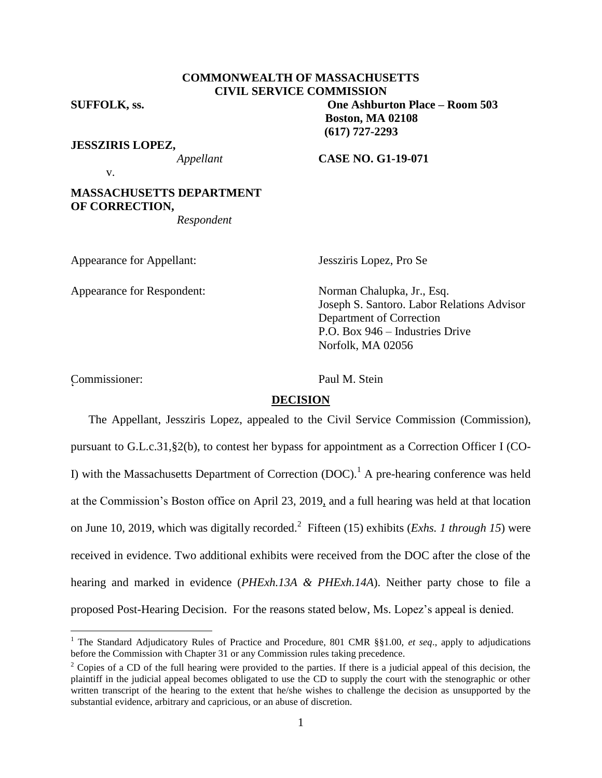## **COMMONWEALTH OF MASSACHUSETTS CIVIL SERVICE COMMISSION**

**SUFFOLK, ss. One Ashburton Place – Room 503**

**JESSZIRIS LOPEZ,**

*Appellant* **CASE NO. G1-19-071**

**Boston, MA 02108 (617) 727-2293**

v.

# **MASSACHUSETTS DEPARTMENT OF CORRECTION,**

*Respondent*

Appearance for Appellant: Jessziris Lopez, Pro Se

Appearance for Respondent: Norman Chalupka, Jr., Esq.

Joseph S. Santoro. Labor Relations Advisor Department of Correction P.O. Box 946 – Industries Drive Norfolk, MA 02056

Commissioner: Paul M. Stein r<br>C

 $\overline{a}$ 

## **DECISION**

The Appellant, Jessziris Lopez, appealed to the Civil Service Commission (Commission), pursuant to G.L.c.31,§2(b), to contest her bypass for appointment as a Correction Officer I (CO-I) with the Massachusetts Department of Correction  $(DOC)^1$ . A pre-hearing conference was held at the Commission's Boston office on April 23, 2019, and a full hearing was held at that location on June 10, 2019, which was digitally recorded. 2 Fifteen (15) exhibits (*Exhs. 1 through 15*) were received in evidence. Two additional exhibits were received from the DOC after the close of the hearing and marked in evidence (*PHExh.13A & PHExh.14A*). Neither party chose to file a proposed Post-Hearing Decision. For the reasons stated below, Ms. Lopez's appeal is denied.

<sup>&</sup>lt;sup>1</sup> The Standard Adjudicatory Rules of Practice and Procedure, 801 CMR §§1.00, et seq., apply to adjudications before the Commission with Chapter 31 or any Commission rules taking precedence.

<sup>&</sup>lt;sup>2</sup> Copies of a CD of the full hearing were provided to the parties. If there is a judicial appeal of this decision, the plaintiff in the judicial appeal becomes obligated to use the CD to supply the court with the stenographic or other written transcript of the hearing to the extent that he/she wishes to challenge the decision as unsupported by the substantial evidence, arbitrary and capricious, or an abuse of discretion.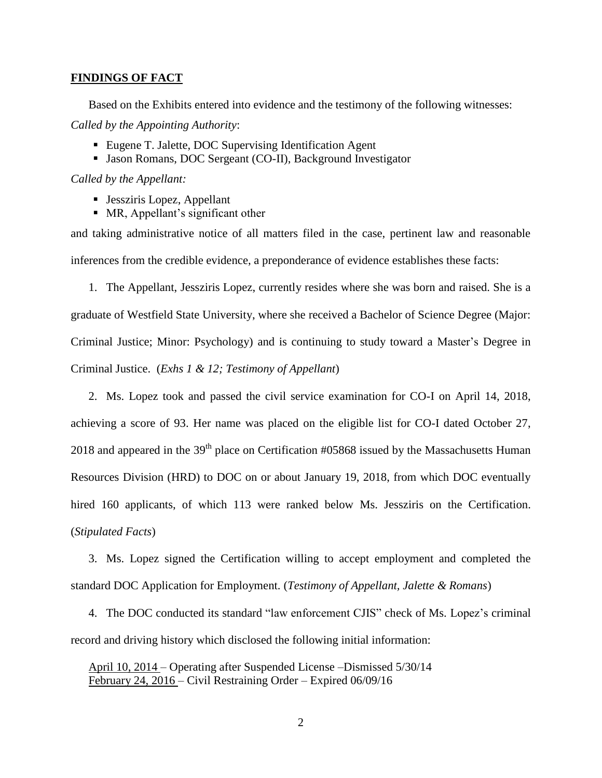#### **FINDINGS OF FACT**

Based on the Exhibits entered into evidence and the testimony of the following witnesses: *Called by the Appointing Authority*:

- Eugene T. Jalette, DOC Supervising Identification Agent
- Jason Romans, DOC Sergeant (CO-II), Background Investigator

*Called by the Appellant:*

- Jessziris Lopez, Appellant
- MR, Appellant's significant other

and taking administrative notice of all matters filed in the case, pertinent law and reasonable inferences from the credible evidence, a preponderance of evidence establishes these facts:

1. The Appellant, Jessziris Lopez, currently resides where she was born and raised. She is a graduate of Westfield State University, where she received a Bachelor of Science Degree (Major: Criminal Justice; Minor: Psychology) and is continuing to study toward a Master's Degree in Criminal Justice. (*Exhs 1 & 12; Testimony of Appellant*)

2. Ms. Lopez took and passed the civil service examination for CO-I on April 14, 2018, achieving a score of 93. Her name was placed on the eligible list for CO-I dated October 27, 2018 and appeared in the  $39<sup>th</sup>$  place on Certification #05868 issued by the Massachusetts Human Resources Division (HRD) to DOC on or about January 19, 2018, from which DOC eventually hired 160 applicants, of which 113 were ranked below Ms. Jessziris on the Certification. (*Stipulated Facts*)

3. Ms. Lopez signed the Certification willing to accept employment and completed the standard DOC Application for Employment. (*Testimony of Appellant, Jalette & Romans*)

4. The DOC conducted its standard "law enforcement CJIS" check of Ms. Lopez's criminal record and driving history which disclosed the following initial information:

April 10, 2014 – Operating after Suspended License –Dismissed 5/30/14 February 24, 2016 – Civil Restraining Order – Expired 06/09/16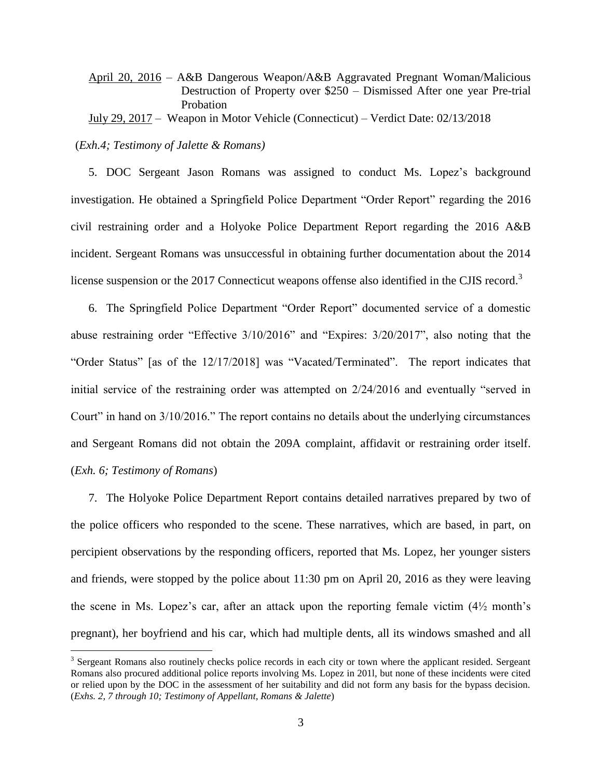April 20, 2016 – A&B Dangerous Weapon/A&B Aggravated Pregnant Woman/Malicious Destruction of Property over \$250 – Dismissed After one year Pre-trial Probation

July 29, 2017 – Weapon in Motor Vehicle (Connecticut) – Verdict Date: 02/13/2018

(*Exh.4; Testimony of Jalette & Romans)*

 $\overline{a}$ 

5. DOC Sergeant Jason Romans was assigned to conduct Ms. Lopez's background investigation. He obtained a Springfield Police Department "Order Report" regarding the 2016 civil restraining order and a Holyoke Police Department Report regarding the 2016 A&B incident. Sergeant Romans was unsuccessful in obtaining further documentation about the 2014 license suspension or the 2017 Connecticut weapons offense also identified in the CJIS record.<sup>3</sup>

6. The Springfield Police Department "Order Report" documented service of a domestic abuse restraining order "Effective 3/10/2016" and "Expires: 3/20/2017", also noting that the "Order Status" [as of the 12/17/2018] was "Vacated/Terminated". The report indicates that initial service of the restraining order was attempted on 2/24/2016 and eventually "served in Court" in hand on 3/10/2016." The report contains no details about the underlying circumstances and Sergeant Romans did not obtain the 209A complaint, affidavit or restraining order itself. (*Exh. 6; Testimony of Romans*)

7. The Holyoke Police Department Report contains detailed narratives prepared by two of the police officers who responded to the scene. These narratives, which are based, in part, on percipient observations by the responding officers, reported that Ms. Lopez, her younger sisters and friends, were stopped by the police about 11:30 pm on April 20, 2016 as they were leaving the scene in Ms. Lopez's car, after an attack upon the reporting female victim  $(4\frac{1}{2}$  month's pregnant), her boyfriend and his car, which had multiple dents, all its windows smashed and all

<sup>&</sup>lt;sup>3</sup> Sergeant Romans also routinely checks police records in each city or town where the applicant resided. Sergeant Romans also procured additional police reports involving Ms. Lopez in 201l, but none of these incidents were cited or relied upon by the DOC in the assessment of her suitability and did not form any basis for the bypass decision. (*Exhs. 2, 7 through 10; Testimony of Appellant, Romans & Jalette*)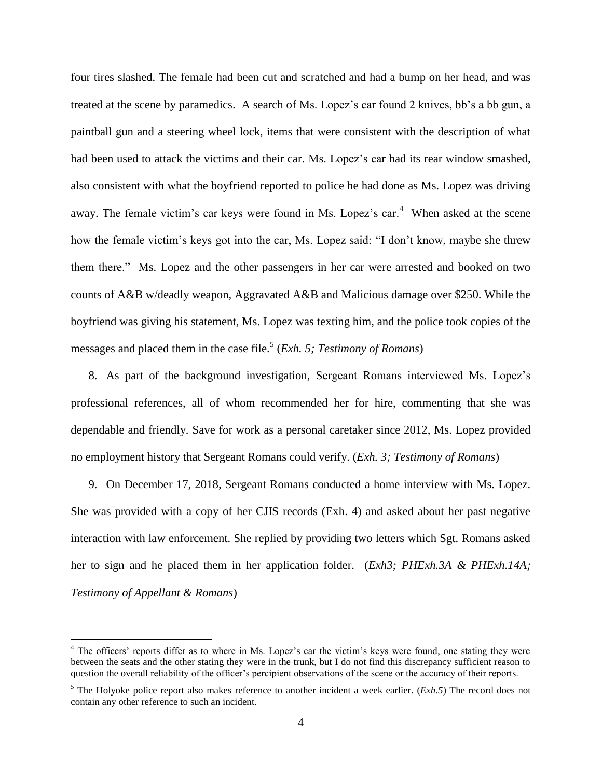four tires slashed. The female had been cut and scratched and had a bump on her head, and was treated at the scene by paramedics. A search of Ms. Lopez's car found 2 knives, bb's a bb gun, a paintball gun and a steering wheel lock, items that were consistent with the description of what had been used to attack the victims and their car. Ms. Lopez's car had its rear window smashed, also consistent with what the boyfriend reported to police he had done as Ms. Lopez was driving away. The female victim's car keys were found in Ms. Lopez's car.<sup>4</sup> When asked at the scene how the female victim's keys got into the car, Ms. Lopez said: "I don't know, maybe she threw them there." Ms. Lopez and the other passengers in her car were arrested and booked on two counts of A&B w/deadly weapon, Aggravated A&B and Malicious damage over \$250. While the boyfriend was giving his statement, Ms. Lopez was texting him, and the police took copies of the messages and placed them in the case file.<sup>5</sup> (*Exh. 5; Testimony of Romans*)

8. As part of the background investigation, Sergeant Romans interviewed Ms. Lopez's professional references, all of whom recommended her for hire, commenting that she was dependable and friendly. Save for work as a personal caretaker since 2012, Ms. Lopez provided no employment history that Sergeant Romans could verify. (*Exh. 3; Testimony of Romans*)

9. On December 17, 2018, Sergeant Romans conducted a home interview with Ms. Lopez. She was provided with a copy of her CJIS records (Exh. 4) and asked about her past negative interaction with law enforcement. She replied by providing two letters which Sgt. Romans asked her to sign and he placed them in her application folder. (*Exh3; PHExh.3A & PHExh.14A; Testimony of Appellant & Romans*)

 $\overline{a}$ 

<sup>&</sup>lt;sup>4</sup> The officers' reports differ as to where in Ms. Lopez's car the victim's keys were found, one stating they were between the seats and the other stating they were in the trunk, but I do not find this discrepancy sufficient reason to question the overall reliability of the officer's percipient observations of the scene or the accuracy of their reports.

<sup>5</sup> The Holyoke police report also makes reference to another incident a week earlier. (*Exh.5*) The record does not contain any other reference to such an incident.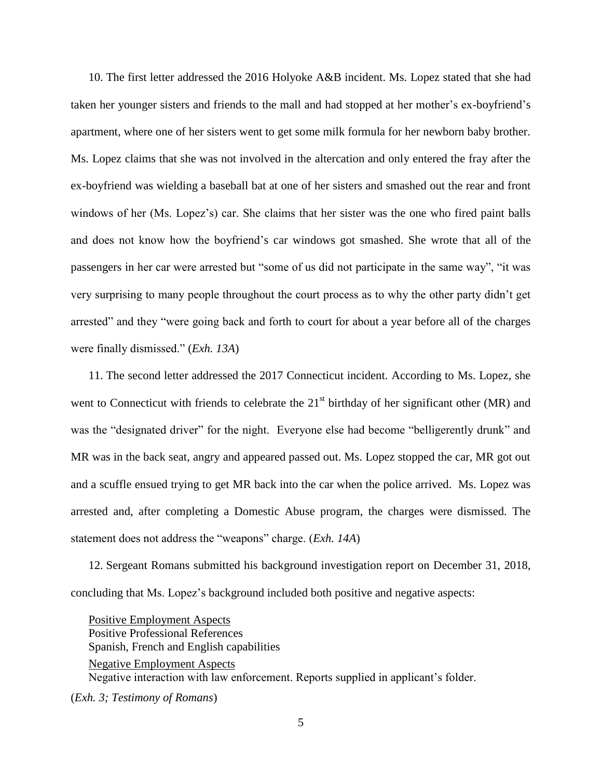10. The first letter addressed the 2016 Holyoke A&B incident. Ms. Lopez stated that she had taken her younger sisters and friends to the mall and had stopped at her mother's ex-boyfriend's apartment, where one of her sisters went to get some milk formula for her newborn baby brother. Ms. Lopez claims that she was not involved in the altercation and only entered the fray after the ex-boyfriend was wielding a baseball bat at one of her sisters and smashed out the rear and front windows of her (Ms. Lopez's) car. She claims that her sister was the one who fired paint balls and does not know how the boyfriend's car windows got smashed. She wrote that all of the passengers in her car were arrested but "some of us did not participate in the same way", "it was very surprising to many people throughout the court process as to why the other party didn't get arrested" and they "were going back and forth to court for about a year before all of the charges were finally dismissed." (*Exh. 13A*)

11. The second letter addressed the 2017 Connecticut incident. According to Ms. Lopez, she went to Connecticut with friends to celebrate the 21<sup>st</sup> birthday of her significant other (MR) and was the "designated driver" for the night. Everyone else had become "belligerently drunk" and MR was in the back seat, angry and appeared passed out. Ms. Lopez stopped the car, MR got out and a scuffle ensued trying to get MR back into the car when the police arrived. Ms. Lopez was arrested and, after completing a Domestic Abuse program, the charges were dismissed. The statement does not address the "weapons" charge. (*Exh. 14A*)

12. Sergeant Romans submitted his background investigation report on December 31, 2018, concluding that Ms. Lopez's background included both positive and negative aspects:

Positive Employment Aspects Positive Professional References Spanish, French and English capabilities Negative Employment Aspects Negative interaction with law enforcement. Reports supplied in applicant's folder. (*Exh. 3; Testimony of Romans*)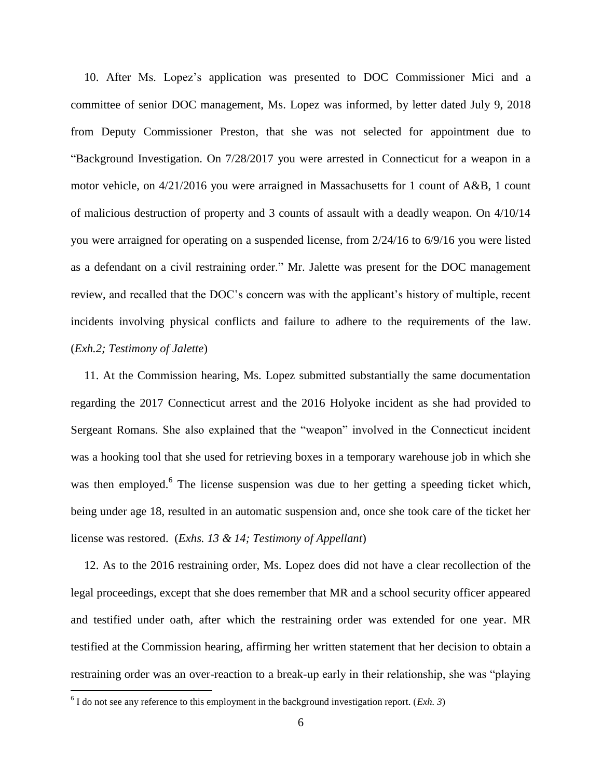10. After Ms. Lopez's application was presented to DOC Commissioner Mici and a committee of senior DOC management, Ms. Lopez was informed, by letter dated July 9, 2018 from Deputy Commissioner Preston, that she was not selected for appointment due to "Background Investigation. On 7/28/2017 you were arrested in Connecticut for a weapon in a motor vehicle, on  $4/21/2016$  you were arraigned in Massachusetts for 1 count of A&B, 1 count of malicious destruction of property and 3 counts of assault with a deadly weapon. On 4/10/14 you were arraigned for operating on a suspended license, from 2/24/16 to 6/9/16 you were listed as a defendant on a civil restraining order." Mr. Jalette was present for the DOC management review, and recalled that the DOC's concern was with the applicant's history of multiple, recent incidents involving physical conflicts and failure to adhere to the requirements of the law. (*Exh.2; Testimony of Jalette*)

11. At the Commission hearing, Ms. Lopez submitted substantially the same documentation regarding the 2017 Connecticut arrest and the 2016 Holyoke incident as she had provided to Sergeant Romans. She also explained that the "weapon" involved in the Connecticut incident was a hooking tool that she used for retrieving boxes in a temporary warehouse job in which she was then employed.<sup>6</sup> The license suspension was due to her getting a speeding ticket which, being under age 18, resulted in an automatic suspension and, once she took care of the ticket her license was restored. (*Exhs. 13 & 14; Testimony of Appellant*)

12. As to the 2016 restraining order, Ms. Lopez does did not have a clear recollection of the legal proceedings, except that she does remember that MR and a school security officer appeared and testified under oath, after which the restraining order was extended for one year. MR testified at the Commission hearing, affirming her written statement that her decision to obtain a restraining order was an over-reaction to a break-up early in their relationship, she was "playing

 $\overline{a}$ 

 $6$  I do not see any reference to this employment in the background investigation report. (*Exh.* 3)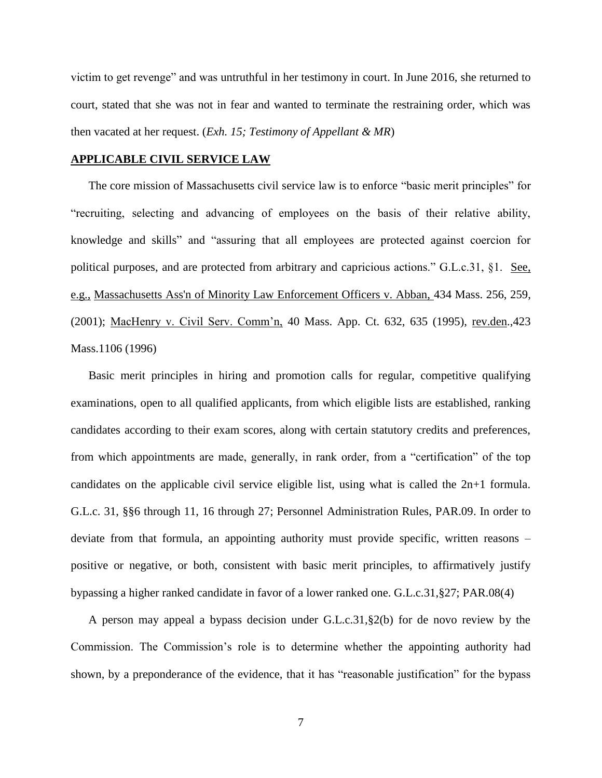victim to get revenge" and was untruthful in her testimony in court. In June 2016, she returned to court, stated that she was not in fear and wanted to terminate the restraining order, which was then vacated at her request. (*Exh. 15; Testimony of Appellant & MR*)

### **APPLICABLE CIVIL SERVICE LAW**

The core mission of Massachusetts civil service law is to enforce "basic merit principles" for "recruiting, selecting and advancing of employees on the basis of their relative ability, knowledge and skills" and "assuring that all employees are protected against coercion for political purposes, and are protected from arbitrary and capricious actions." G.L.c.31, §1. See, e.g., [Massachusetts Ass'n of Minority Law Enforcement Officers v. Abban,](http://web2.westlaw.com/find/default.wl?mt=Massachusetts&db=578&rs=WLW15.04&tc=-1&rp=%2ffind%2fdefault.wl&findtype=Y&ordoc=2029136022&serialnum=2001441097&vr=2.0&fn=_top&sv=Split&tf=-1&pbc=70F732C1&utid=1) 434 Mass. 256, 259, [\(2001\);](http://web2.westlaw.com/find/default.wl?mt=Massachusetts&db=578&rs=WLW15.04&tc=-1&rp=%2ffind%2fdefault.wl&findtype=Y&ordoc=2029136022&serialnum=2001441097&vr=2.0&fn=_top&sv=Split&tf=-1&pbc=70F732C1&utid=1) MacHenry v. Civil Serv. Comm'n, 40 Mass. App. Ct. 632, 635 (1995), rev.den.,423 Mass.1106 (1996)

Basic merit principles in hiring and promotion calls for regular, competitive qualifying examinations, open to all qualified applicants, from which eligible lists are established, ranking candidates according to their exam scores, along with certain statutory credits and preferences, from which appointments are made, generally, in rank order, from a "certification" of the top candidates on the applicable civil service eligible list, using what is called the 2n+1 formula. G.L.c. 31, §§6 through 11, 16 through 27; Personnel Administration Rules, PAR.09. In order to deviate from that formula, an appointing authority must provide specific, written reasons – positive or negative, or both, consistent with basic merit principles, to affirmatively justify bypassing a higher ranked candidate in favor of a lower ranked one. G.L.c.31,§27; PAR.08(4)

A person may appeal a bypass decision under G.L.c.31,§2(b) for de novo review by the Commission. The Commission's role is to determine whether the appointing authority had shown, by a preponderance of the evidence, that it has "reasonable justification" for the bypass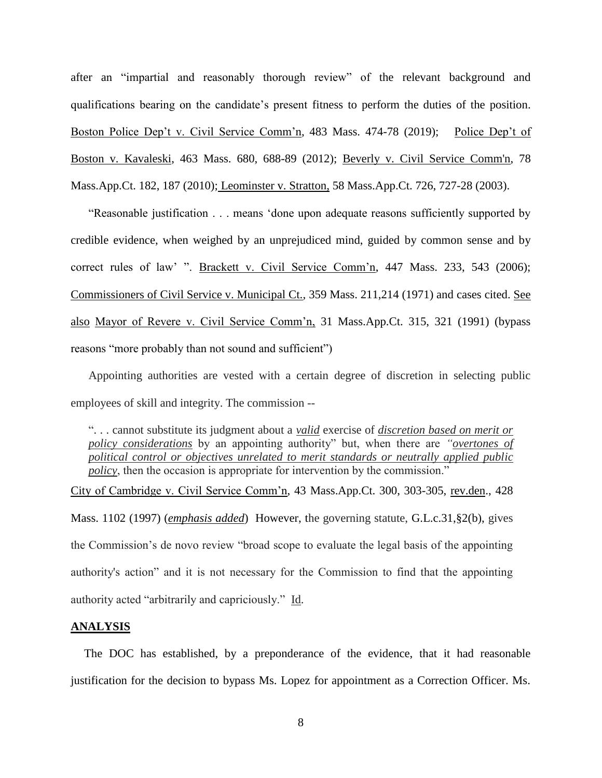after an "impartial and reasonably thorough review" of the relevant background and qualifications bearing on the candidate's present fitness to perform the duties of the position. Boston Police Dep't v. Civil Service Comm'n, 483 Mass. 474-78 (2019); Police Dep't of Boston v. Kavaleski, 463 Mass. 680, 688-89 (2012); [Beverly v. Civil Service Comm'n, 78](http://web2.westlaw.com/find/default.wl?mt=Massachusetts&db=578&rs=WLW15.04&tc=-1&rp=%2ffind%2fdefault.wl&findtype=Y&ordoc=2029136022&serialnum=2023501172&vr=2.0&fn=_top&sv=Split&tf=-1&pbc=70F732C1&utid=1)  [Mass.App.Ct. 182, 187 \(2010\);](http://web2.westlaw.com/find/default.wl?mt=Massachusetts&db=578&rs=WLW15.04&tc=-1&rp=%2ffind%2fdefault.wl&findtype=Y&ordoc=2029136022&serialnum=2023501172&vr=2.0&fn=_top&sv=Split&tf=-1&pbc=70F732C1&utid=1) Leominster v. Stratton, 58 Mass.App.Ct. 726, 727-28 (2003).

"Reasonable justification . . . means 'done upon adequate reasons sufficiently supported by credible evidence, when weighed by an unprejudiced mind, guided by common sense and by correct rules of law' ". Brackett v. Civil Service Comm'n, 447 Mass. 233, 543 (2006); Commissioners of Civil Service v. Municipal Ct., 359 Mass. 211,214 (1971) and cases cited. See also Mayor of Revere v. Civil Service Comm'n, 31 Mass.App.Ct. 315, 321 (1991) (bypass reasons "more probably than not sound and sufficient")

Appointing authorities are vested with a certain degree of discretion in selecting public employees of skill and integrity. The commission --

". . . cannot substitute its judgment about a *valid* exercise of *discretion based on merit or policy considerations* by an appointing authority" but, when there are *"overtones of political control or objectives unrelated to merit standards or neutrally applied public policy*, then the occasion is appropriate for intervention by the commission."

City of Cambridge v. Civil Service Comm'n, 43 Mass.App.Ct. 300, 303-305, rev.den., 428 Mass. 1102 (1997) (*emphasis added*) However, the governing statute, [G.L.c.31,§2\(b\),](https://1.next.westlaw.com/Link/Document/FullText?findType=L&pubNum=1000042&cite=MAST31S2&originatingDoc=Ib21af0ded3bd11d99439b076ef9ec4de&refType=LQ&originationContext=document&transitionType=DocumentItem&contextData=(sc.History*oc.UserEnteredCitation)) gives the Commission's de novo review "broad scope to evaluate the legal basis of the appointing authority's action" and it is not necessary for the Commission to find that the appointing authority acted "arbitrarily and capriciously." Id.

## **ANALYSIS**

The DOC has established, by a preponderance of the evidence, that it had reasonable justification for the decision to bypass Ms. Lopez for appointment as a Correction Officer. Ms.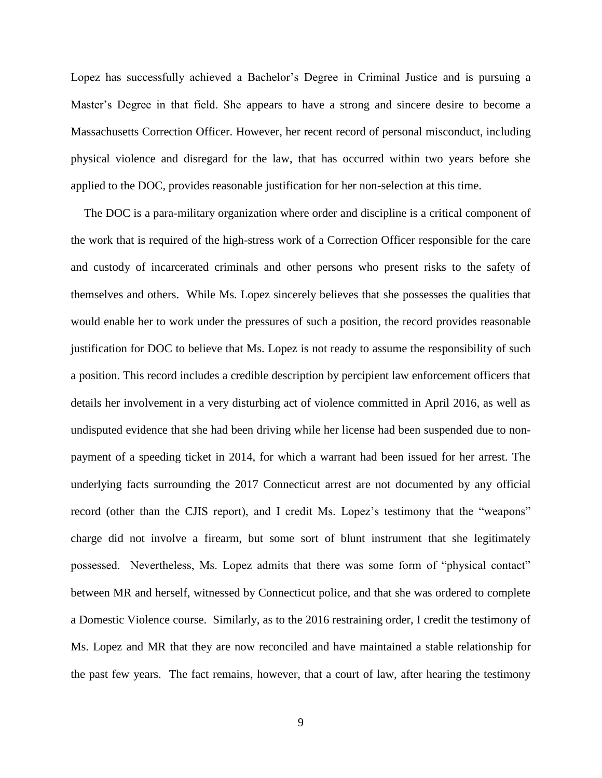Lopez has successfully achieved a Bachelor's Degree in Criminal Justice and is pursuing a Master's Degree in that field. She appears to have a strong and sincere desire to become a Massachusetts Correction Officer. However, her recent record of personal misconduct, including physical violence and disregard for the law, that has occurred within two years before she applied to the DOC, provides reasonable justification for her non-selection at this time.

The DOC is a para-military organization where order and discipline is a critical component of the work that is required of the high-stress work of a Correction Officer responsible for the care and custody of incarcerated criminals and other persons who present risks to the safety of themselves and others. While Ms. Lopez sincerely believes that she possesses the qualities that would enable her to work under the pressures of such a position, the record provides reasonable justification for DOC to believe that Ms. Lopez is not ready to assume the responsibility of such a position. This record includes a credible description by percipient law enforcement officers that details her involvement in a very disturbing act of violence committed in April 2016, as well as undisputed evidence that she had been driving while her license had been suspended due to nonpayment of a speeding ticket in 2014, for which a warrant had been issued for her arrest. The underlying facts surrounding the 2017 Connecticut arrest are not documented by any official record (other than the CJIS report), and I credit Ms. Lopez's testimony that the "weapons" charge did not involve a firearm, but some sort of blunt instrument that she legitimately possessed. Nevertheless, Ms. Lopez admits that there was some form of "physical contact" between MR and herself, witnessed by Connecticut police, and that she was ordered to complete a Domestic Violence course. Similarly, as to the 2016 restraining order, I credit the testimony of Ms. Lopez and MR that they are now reconciled and have maintained a stable relationship for the past few years. The fact remains, however, that a court of law, after hearing the testimony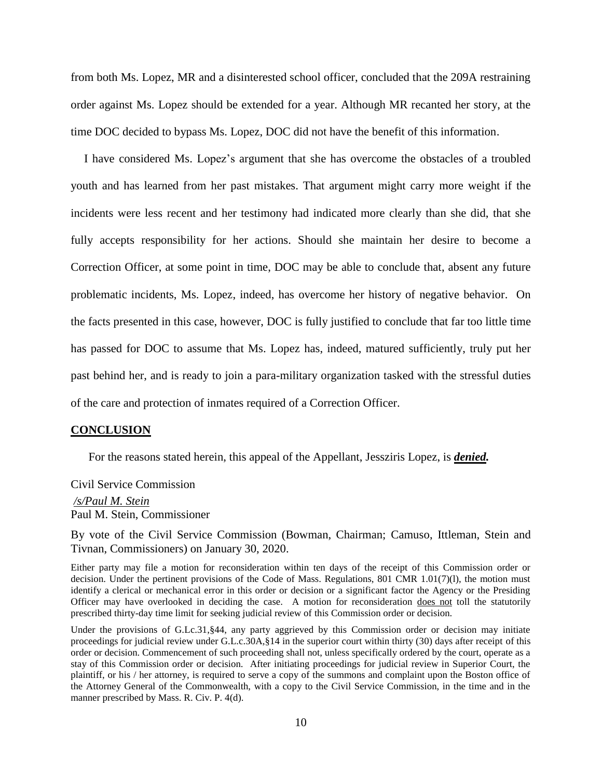from both Ms. Lopez, MR and a disinterested school officer, concluded that the 209A restraining order against Ms. Lopez should be extended for a year. Although MR recanted her story, at the time DOC decided to bypass Ms. Lopez, DOC did not have the benefit of this information.

I have considered Ms. Lopez's argument that she has overcome the obstacles of a troubled youth and has learned from her past mistakes. That argument might carry more weight if the incidents were less recent and her testimony had indicated more clearly than she did, that she fully accepts responsibility for her actions. Should she maintain her desire to become a Correction Officer, at some point in time, DOC may be able to conclude that, absent any future problematic incidents, Ms. Lopez, indeed, has overcome her history of negative behavior. On the facts presented in this case, however, DOC is fully justified to conclude that far too little time has passed for DOC to assume that Ms. Lopez has, indeed, matured sufficiently, truly put her past behind her, and is ready to join a para-military organization tasked with the stressful duties of the care and protection of inmates required of a Correction Officer.

#### **CONCLUSION**

For the reasons stated herein, this appeal of the Appellant, Jessziris Lopez, is *denied.*

Civil Service Commission

*/s/Paul M. Stein*  Paul M. Stein, Commissioner

By vote of the Civil Service Commission (Bowman, Chairman; Camuso, Ittleman, Stein and Tivnan, Commissioners) on January 30, 2020.

Either party may file a motion for reconsideration within ten days of the receipt of this Commission order or decision. Under the pertinent provisions of the Code of Mass. Regulations, 801 CMR 1.01(7)(l), the motion must identify a clerical or mechanical error in this order or decision or a significant factor the Agency or the Presiding Officer may have overlooked in deciding the case. A motion for reconsideration does not toll the statutorily prescribed thirty-day time limit for seeking judicial review of this Commission order or decision.

Under the provisions of G.Lc.31, §44, any party aggrieved by this Commission order or decision may initiate proceedings for judicial review under G.L.c.30A,§14 in the superior court within thirty (30) days after receipt of this order or decision. Commencement of such proceeding shall not, unless specifically ordered by the court, operate as a stay of this Commission order or decision. After initiating proceedings for judicial review in Superior Court, the plaintiff, or his / her attorney, is required to serve a copy of the summons and complaint upon the Boston office of the Attorney General of the Commonwealth, with a copy to the Civil Service Commission, in the time and in the manner prescribed by Mass. R. Civ. P. 4(d).